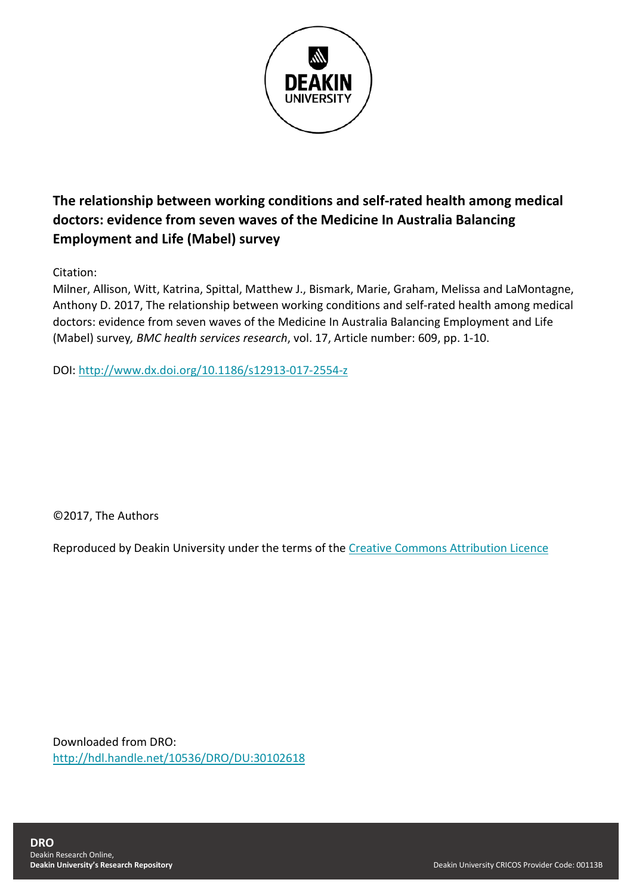

# **The relationship between working conditions and self-rated health among medical doctors: evidence from seven waves of the Medicine In Australia Balancing Employment and Life (Mabel) survey**

Citation:

Milner, Allison, Witt, Katrina, Spittal, Matthew J., Bismark, Marie, Graham, Melissa and LaMontagne, Anthony D. 2017, The relationship between working conditions and self-rated health among medical doctors: evidence from seven waves of the Medicine In Australia Balancing Employment and Life (Mabel) survey*, BMC health services research*, vol. 17, Article number: 609, pp. 1-10.

DOI:<http://www.dx.doi.org/10.1186/s12913-017-2554-z>

©2017, The Authors

Reproduced by Deakin University under the terms of the [Creative Commons Attribution Licence](https://creativecommons.org/licenses/by/4.0/)

Downloaded from DRO: <http://hdl.handle.net/10536/DRO/DU:30102618>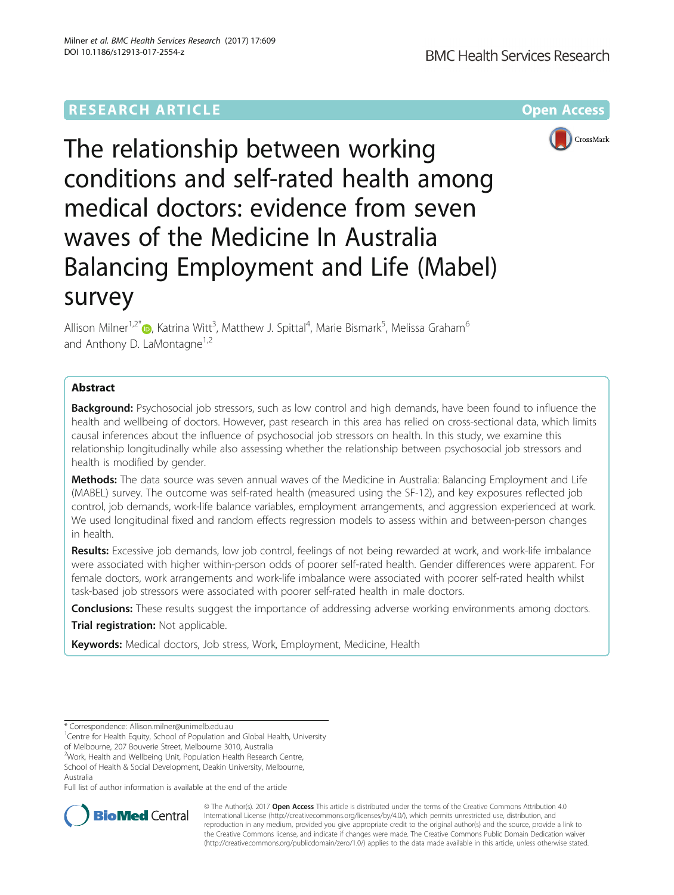## **RESEARCH ARTICLE Example 2014 12:30 The Company Access** (RESEARCH ARTICLE



# The relationship between working conditions and self-rated health among medical doctors: evidence from seven waves of the Medicine In Australia Balancing Employment and Life (Mabel) survey

Allison Milner<sup>1,2[\\*](http://orcid.org/0000-0003-4657-0503)</sup>®, Katrina Witt<sup>3</sup>, Matthew J. Spittal<sup>4</sup>, Marie Bismark<sup>5</sup>, Melissa Graham<sup>6</sup> and Anthony D. LaMontagne<sup>1,2</sup>

## Abstract

**Background:** Psychosocial job stressors, such as low control and high demands, have been found to influence the health and wellbeing of doctors. However, past research in this area has relied on cross-sectional data, which limits causal inferences about the influence of psychosocial job stressors on health. In this study, we examine this relationship longitudinally while also assessing whether the relationship between psychosocial job stressors and health is modified by gender.

Methods: The data source was seven annual waves of the Medicine in Australia: Balancing Employment and Life (MABEL) survey. The outcome was self-rated health (measured using the SF-12), and key exposures reflected job control, job demands, work-life balance variables, employment arrangements, and aggression experienced at work. We used longitudinal fixed and random effects regression models to assess within and between-person changes in health.

Results: Excessive job demands, low job control, feelings of not being rewarded at work, and work-life imbalance were associated with higher within-person odds of poorer self-rated health. Gender differences were apparent. For female doctors, work arrangements and work-life imbalance were associated with poorer self-rated health whilst task-based job stressors were associated with poorer self-rated health in male doctors.

**Conclusions:** These results suggest the importance of addressing adverse working environments among doctors.

Trial registration: Not applicable.

Keywords: Medical doctors, Job stress, Work, Employment, Medicine, Health

<sup>2</sup>Work, Health and Wellbeing Unit, Population Health Research Centre,

School of Health & Social Development, Deakin University, Melbourne, Australia

Full list of author information is available at the end of the article



© The Author(s). 2017 **Open Access** This article is distributed under the terms of the Creative Commons Attribution 4.0 International License [\(http://creativecommons.org/licenses/by/4.0/](http://creativecommons.org/licenses/by/4.0/)), which permits unrestricted use, distribution, and reproduction in any medium, provided you give appropriate credit to the original author(s) and the source, provide a link to the Creative Commons license, and indicate if changes were made. The Creative Commons Public Domain Dedication waiver [\(http://creativecommons.org/publicdomain/zero/1.0/](http://creativecommons.org/publicdomain/zero/1.0/)) applies to the data made available in this article, unless otherwise stated.

<sup>\*</sup> Correspondence: [Allison.milner@unimelb.edu.au](mailto:Allison.milner@unimelb.edu.au) <sup>1</sup>

<sup>&</sup>lt;sup>1</sup> Centre for Health Equity, School of Population and Global Health, University

of Melbourne, 207 Bouverie Street, Melbourne 3010, Australia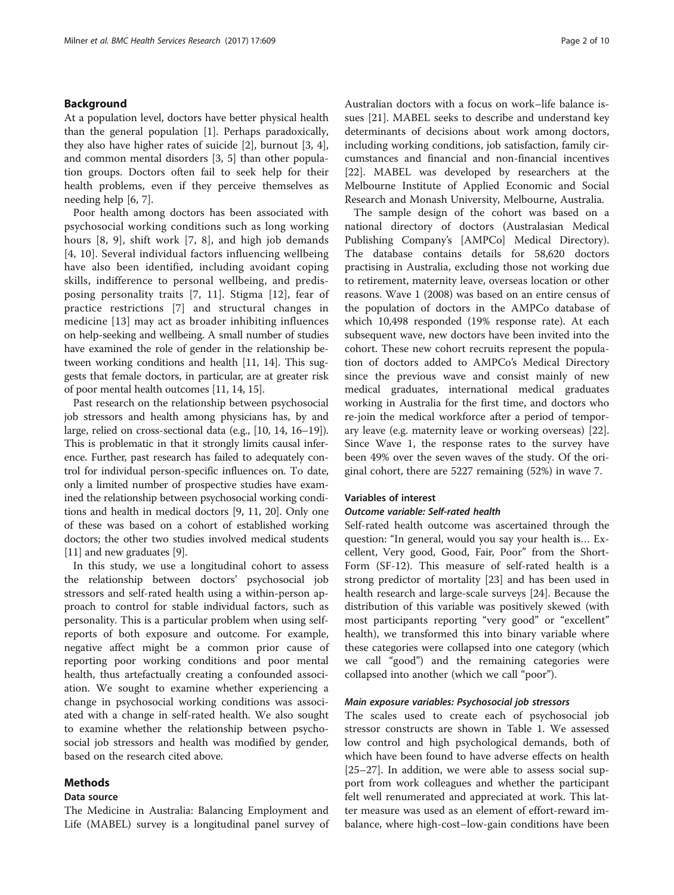## Background

At a population level, doctors have better physical health than the general population [[1\]](#page-9-0). Perhaps paradoxically, they also have higher rates of suicide [[2\]](#page-9-0), burnout [[3, 4](#page-9-0)], and common mental disorders [\[3](#page-9-0), [5\]](#page-9-0) than other population groups. Doctors often fail to seek help for their health problems, even if they perceive themselves as needing help [\[6](#page-9-0), [7](#page-9-0)].

Poor health among doctors has been associated with psychosocial working conditions such as long working hours [\[8](#page-9-0), [9](#page-9-0)], shift work [\[7](#page-9-0), [8](#page-9-0)], and high job demands [[4](#page-9-0), [10\]](#page-9-0). Several individual factors influencing wellbeing have also been identified, including avoidant coping skills, indifference to personal wellbeing, and predisposing personality traits [[7,](#page-9-0) [11](#page-10-0)]. Stigma [[12\]](#page-10-0), fear of practice restrictions [\[7](#page-9-0)] and structural changes in medicine [[13\]](#page-10-0) may act as broader inhibiting influences on help-seeking and wellbeing. A small number of studies have examined the role of gender in the relationship between working conditions and health [\[11, 14\]](#page-10-0). This suggests that female doctors, in particular, are at greater risk of poor mental health outcomes [\[11](#page-10-0), [14](#page-10-0), [15\]](#page-10-0).

Past research on the relationship between psychosocial job stressors and health among physicians has, by and large, relied on cross-sectional data (e.g., [\[10,](#page-9-0) [14, 16](#page-10-0)–[19](#page-10-0)]). This is problematic in that it strongly limits causal inference. Further, past research has failed to adequately control for individual person-specific influences on. To date, only a limited number of prospective studies have examined the relationship between psychosocial working conditions and health in medical doctors [[9](#page-9-0), [11, 20\]](#page-10-0). Only one of these was based on a cohort of established working doctors; the other two studies involved medical students [[11](#page-10-0)] and new graduates [[9](#page-9-0)].

In this study, we use a longitudinal cohort to assess the relationship between doctors' psychosocial job stressors and self-rated health using a within-person approach to control for stable individual factors, such as personality. This is a particular problem when using selfreports of both exposure and outcome. For example, negative affect might be a common prior cause of reporting poor working conditions and poor mental health, thus artefactually creating a confounded association. We sought to examine whether experiencing a change in psychosocial working conditions was associated with a change in self-rated health. We also sought to examine whether the relationship between psychosocial job stressors and health was modified by gender, based on the research cited above.

## Methods

## Data source

The Medicine in Australia: Balancing Employment and Life (MABEL) survey is a longitudinal panel survey of

Australian doctors with a focus on work–life balance issues [[21](#page-10-0)]. MABEL seeks to describe and understand key determinants of decisions about work among doctors, including working conditions, job satisfaction, family circumstances and financial and non-financial incentives [[22\]](#page-10-0). MABEL was developed by researchers at the Melbourne Institute of Applied Economic and Social Research and Monash University, Melbourne, Australia.

The sample design of the cohort was based on a national directory of doctors (Australasian Medical Publishing Company's [AMPCo] Medical Directory). The database contains details for 58,620 doctors practising in Australia, excluding those not working due to retirement, maternity leave, overseas location or other reasons. Wave 1 (2008) was based on an entire census of the population of doctors in the AMPCo database of which 10,498 responded (19% response rate). At each subsequent wave, new doctors have been invited into the cohort. These new cohort recruits represent the population of doctors added to AMPCo's Medical Directory since the previous wave and consist mainly of new medical graduates, international medical graduates working in Australia for the first time, and doctors who re-join the medical workforce after a period of temporary leave (e.g. maternity leave or working overseas) [\[22](#page-10-0)]. Since Wave 1, the response rates to the survey have been 49% over the seven waves of the study. Of the original cohort, there are 5227 remaining (52%) in wave 7.

## Variables of interest

## Outcome variable: Self-rated health

Self-rated health outcome was ascertained through the question: "In general, would you say your health is… Excellent, Very good, Good, Fair, Poor" from the Short-Form (SF-12). This measure of self-rated health is a strong predictor of mortality [[23\]](#page-10-0) and has been used in health research and large-scale surveys [\[24](#page-10-0)]. Because the distribution of this variable was positively skewed (with most participants reporting "very good" or "excellent" health), we transformed this into binary variable where these categories were collapsed into one category (which we call "good") and the remaining categories were collapsed into another (which we call "poor").

## Main exposure variables: Psychosocial job stressors

The scales used to create each of psychosocial job stressor constructs are shown in Table [1](#page-3-0). We assessed low control and high psychological demands, both of which have been found to have adverse effects on health [[25](#page-10-0)–[27](#page-10-0)]. In addition, we were able to assess social support from work colleagues and whether the participant felt well renumerated and appreciated at work. This latter measure was used as an element of effort-reward imbalance, where high-cost–low-gain conditions have been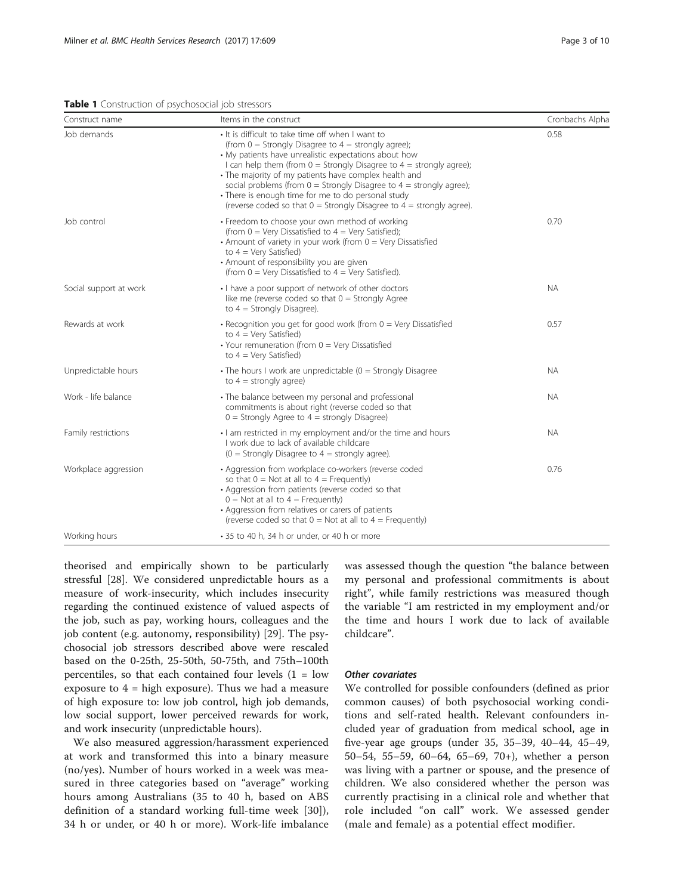<span id="page-3-0"></span>Table 1 Construction of psychosocial job stressors

| Construct name         | Items in the construct                                                                                                                                                                                                                                                                                                                                                                                                                                                                                                 | Cronbachs Alpha |
|------------------------|------------------------------------------------------------------------------------------------------------------------------------------------------------------------------------------------------------------------------------------------------------------------------------------------------------------------------------------------------------------------------------------------------------------------------------------------------------------------------------------------------------------------|-----------------|
| Job demands            | . It is difficult to take time off when I want to<br>(from $0 =$ Strongly Disagree to $4 =$ strongly agree);<br>• My patients have unrealistic expectations about how<br>I can help them (from $0 =$ Strongly Disagree to $4 =$ strongly agree);<br>• The majority of my patients have complex health and<br>social problems (from $0 =$ Strongly Disagree to $4 =$ strongly agree);<br>• There is enough time for me to do personal study<br>(reverse coded so that $0 =$ Strongly Disagree to $4 =$ strongly agree). | 0.58            |
| Job control            | • Freedom to choose your own method of working<br>(from $0 = \text{Very Dissatisfied to } 4 = \text{Very Satisfied};$<br>• Amount of variety in your work (from $0 = \text{Very Dissatisfied}$<br>to $4 = \text{Very Satisfied}$<br>• Amount of responsibility you are given<br>(from $0 = \text{Very Dissatisfied to } 4 = \text{Very Satisfied}.$                                                                                                                                                                    | 0.70            |
| Social support at work | • I have a poor support of network of other doctors<br>like me (reverse coded so that $0 =$ Strongly Agree<br>to $4 =$ Strongly Disagree).                                                                                                                                                                                                                                                                                                                                                                             | <b>NA</b>       |
| Rewards at work        | • Recognition you get for good work (from $0 = \text{Very Dissatisfied}$<br>to $4 = \text{Very Satisfied}$<br>• Your remuneration (from $0 = \text{V}$ ery Dissatisfied<br>to $4 = \text{Very Satisfied}$                                                                                                                                                                                                                                                                                                              | 0.57            |
| Unpredictable hours    | • The hours I work are unpredictable ( $0 =$ Strongly Disagree<br>to $4 =$ strongly agree)                                                                                                                                                                                                                                                                                                                                                                                                                             | <b>NA</b>       |
| Work - life balance    | · The balance between my personal and professional<br>commitments is about right (reverse coded so that<br>$0 =$ Strongly Agree to $4 =$ strongly Disagree)                                                                                                                                                                                                                                                                                                                                                            | <b>NA</b>       |
| Family restrictions    | I am restricted in my employment and/or the time and hours<br>I work due to lack of available childcare<br>$(0 =$ Strongly Disagree to $4 =$ strongly agree).                                                                                                                                                                                                                                                                                                                                                          | <b>NA</b>       |
| Workplace aggression   | • Aggression from workplace co-workers (reverse coded<br>so that $0 = Not$ at all to $4 = Frequently$ )<br>• Aggression from patients (reverse coded so that<br>$0 =$ Not at all to $4 =$ Frequently)<br>• Aggression from relatives or carers of patients<br>(reverse coded so that $0 =$ Not at all to $4 =$ Frequently)                                                                                                                                                                                             | 0.76            |
| Working hours          | • 35 to 40 h, 34 h or under, or 40 h or more                                                                                                                                                                                                                                                                                                                                                                                                                                                                           |                 |

theorised and empirically shown to be particularly stressful [[28\]](#page-10-0). We considered unpredictable hours as a measure of work-insecurity, which includes insecurity regarding the continued existence of valued aspects of the job, such as pay, working hours, colleagues and the job content (e.g. autonomy, responsibility) [\[29](#page-10-0)]. The psychosocial job stressors described above were rescaled based on the 0-25th, 25-50th, 50-75th, and 75th–100th percentiles, so that each contained four levels  $(1 = low$ exposure to  $4 =$  high exposure). Thus we had a measure of high exposure to: low job control, high job demands, low social support, lower perceived rewards for work, and work insecurity (unpredictable hours).

We also measured aggression/harassment experienced at work and transformed this into a binary measure (no/yes). Number of hours worked in a week was measured in three categories based on "average" working hours among Australians (35 to 40 h, based on ABS definition of a standard working full-time week [[30\]](#page-10-0)), 34 h or under, or 40 h or more). Work-life imbalance was assessed though the question "the balance between my personal and professional commitments is about right", while family restrictions was measured though the variable "I am restricted in my employment and/or the time and hours I work due to lack of available childcare".

## Other covariates

We controlled for possible confounders (defined as prior common causes) of both psychosocial working conditions and self-rated health. Relevant confounders included year of graduation from medical school, age in five-year age groups (under 35, 35–39, 40–44, 45–49, 50–54, 55–59, 60–64, 65–69, 70+), whether a person was living with a partner or spouse, and the presence of children. We also considered whether the person was currently practising in a clinical role and whether that role included "on call" work. We assessed gender (male and female) as a potential effect modifier.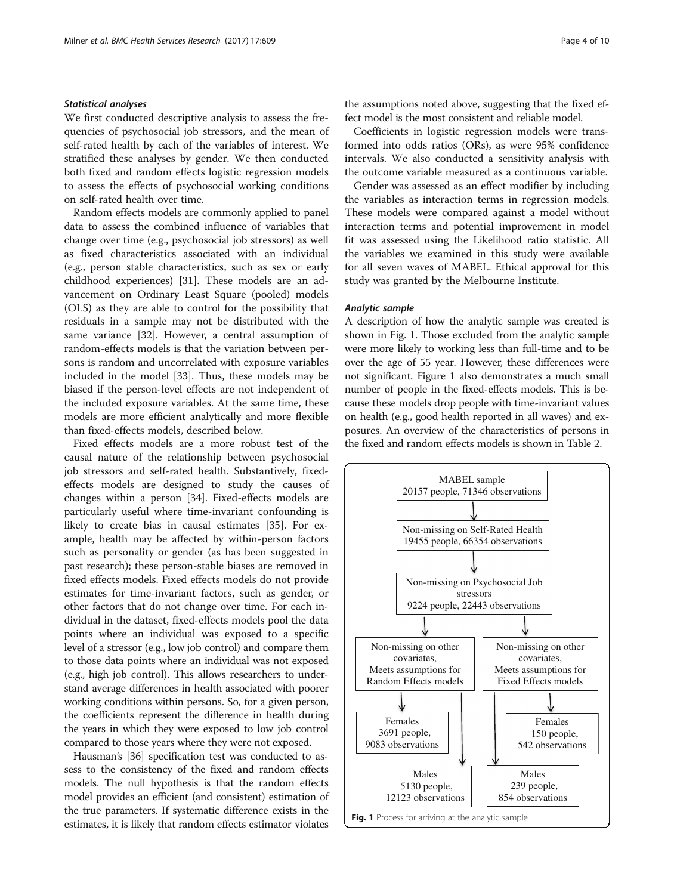## Statistical analyses

We first conducted descriptive analysis to assess the frequencies of psychosocial job stressors, and the mean of self-rated health by each of the variables of interest. We stratified these analyses by gender. We then conducted both fixed and random effects logistic regression models to assess the effects of psychosocial working conditions on self-rated health over time.

Random effects models are commonly applied to panel data to assess the combined influence of variables that change over time (e.g., psychosocial job stressors) as well as fixed characteristics associated with an individual (e.g., person stable characteristics, such as sex or early childhood experiences) [\[31](#page-10-0)]. These models are an advancement on Ordinary Least Square (pooled) models (OLS) as they are able to control for the possibility that residuals in a sample may not be distributed with the same variance [[32](#page-10-0)]. However, a central assumption of random-effects models is that the variation between persons is random and uncorrelated with exposure variables included in the model [\[33](#page-10-0)]. Thus, these models may be biased if the person-level effects are not independent of the included exposure variables. At the same time, these models are more efficient analytically and more flexible than fixed-effects models, described below.

Fixed effects models are a more robust test of the causal nature of the relationship between psychosocial job stressors and self-rated health. Substantively, fixedeffects models are designed to study the causes of changes within a person [\[34](#page-10-0)]. Fixed-effects models are particularly useful where time-invariant confounding is likely to create bias in causal estimates [\[35\]](#page-10-0). For example, health may be affected by within-person factors such as personality or gender (as has been suggested in past research); these person-stable biases are removed in fixed effects models. Fixed effects models do not provide estimates for time-invariant factors, such as gender, or other factors that do not change over time. For each individual in the dataset, fixed-effects models pool the data points where an individual was exposed to a specific level of a stressor (e.g., low job control) and compare them to those data points where an individual was not exposed (e.g., high job control). This allows researchers to understand average differences in health associated with poorer working conditions within persons. So, for a given person, the coefficients represent the difference in health during the years in which they were exposed to low job control compared to those years where they were not exposed.

Hausman's [[36](#page-10-0)] specification test was conducted to assess to the consistency of the fixed and random effects models. The null hypothesis is that the random effects model provides an efficient (and consistent) estimation of the true parameters. If systematic difference exists in the estimates, it is likely that random effects estimator violates

the assumptions noted above, suggesting that the fixed effect model is the most consistent and reliable model.

Coefficients in logistic regression models were transformed into odds ratios (ORs), as were 95% confidence intervals. We also conducted a sensitivity analysis with the outcome variable measured as a continuous variable.

Gender was assessed as an effect modifier by including the variables as interaction terms in regression models. These models were compared against a model without interaction terms and potential improvement in model fit was assessed using the Likelihood ratio statistic. All the variables we examined in this study were available for all seven waves of MABEL. Ethical approval for this study was granted by the Melbourne Institute.

## Analytic sample

A description of how the analytic sample was created is shown in Fig. 1. Those excluded from the analytic sample were more likely to working less than full-time and to be over the age of 55 year. However, these differences were not significant. Figure 1 also demonstrates a much small number of people in the fixed-effects models. This is because these models drop people with time-invariant values on health (e.g., good health reported in all waves) and exposures. An overview of the characteristics of persons in the fixed and random effects models is shown in Table [2](#page-5-0).

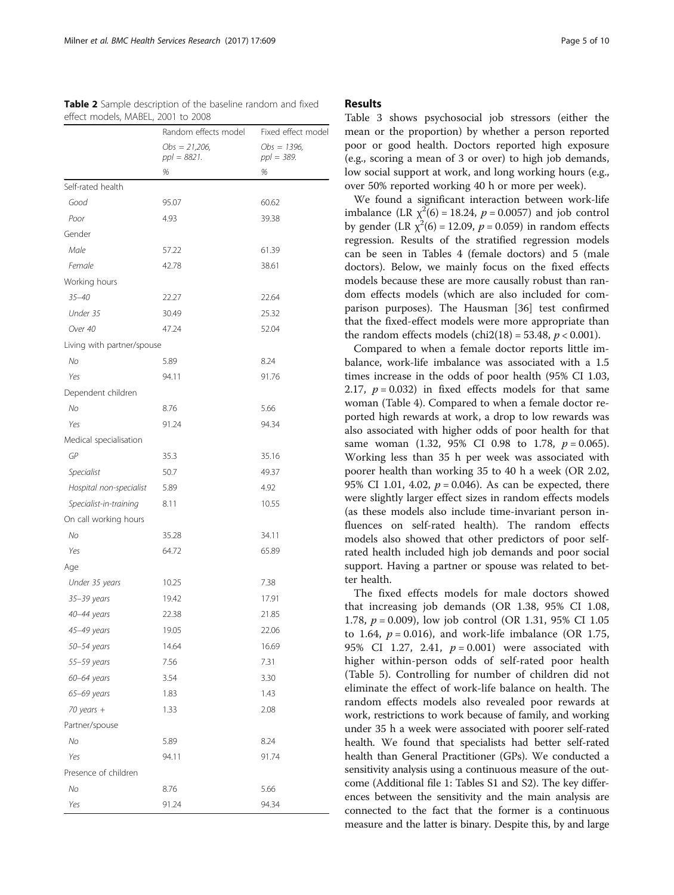| CHECL HIOUCIS, IVIADLE, ZUUT TU ZUUO | Random effects model | Fixed effect model |
|--------------------------------------|----------------------|--------------------|
|                                      | $Obs = 21,206,$      | $Obs = 1396,$      |
|                                      | ppl = 8821.          | $ppl = 389$ .      |
|                                      | %                    | %                  |
| Self-rated health                    |                      |                    |
| Good                                 | 95.07                | 60.62              |
| Poor                                 | 4.93                 | 39.38              |
| Gender                               |                      |                    |
| Male                                 | 57.22                | 61.39              |
| Female                               | 42.78                | 38.61              |
| Working hours                        |                      |                    |
| $35 - 40$                            | 22.27                | 22.64              |
| Under 35                             | 30.49                | 25.32              |
| Over 40                              | 47.24                | 52.04              |
| Living with partner/spouse           |                      |                    |
| No                                   | 5.89                 | 8.24               |
| Yes                                  | 94.11                | 91.76              |
| Dependent children                   |                      |                    |
| No                                   | 8.76                 | 5.66               |
| Yes                                  | 91.24                | 94.34              |
| Medical specialisation               |                      |                    |
| GP                                   | 35.3                 | 35.16              |
| Specialist                           | 50.7                 | 49.37              |
| Hospital non-specialist              | 5.89                 | 4.92               |
| Specialist-in-training               | 8.11                 | 10.55              |
| On call working hours                |                      |                    |
| No                                   | 35.28                | 34.11              |
| Yes                                  | 64.72                | 65.89              |
| Age                                  |                      |                    |
| Under 35 years                       | 10.25                | 7.38               |
| 35-39 years                          | 19.42                | 17.91              |
| 40-44 years                          | 22.38                | 21.85              |
| 45-49 years                          | 19.05                | 22.06              |
| 50-54 years                          | 14.64                | 16.69              |
| 55-59 years                          | 7.56                 | 7.31               |
| 60-64 years                          | 3.54                 | 3.30               |
| 65-69 years                          | 1.83                 | 1.43               |
| $70$ years +                         | 1.33                 | 2.08               |
| Partner/spouse                       |                      |                    |
| No.                                  | 5.89                 | 8.24               |
| Yes                                  | 94.11                | 91.74              |
| Presence of children                 |                      |                    |
| No                                   | 8.76                 | 5.66               |
| Yes                                  | 91.24                | 94.34              |

<span id="page-5-0"></span>Table 2 Sample description of the baseline random and fixed effect models, MABEL, 2001 to 2008

## Results

Table [3](#page-6-0) shows psychosocial job stressors (either the mean or the proportion) by whether a person reported poor or good health. Doctors reported high exposure (e.g., scoring a mean of 3 or over) to high job demands, low social support at work, and long working hours (e.g., over 50% reported working 40 h or more per week).

We found a significant interaction between work-life imbalance (LR  $\chi^2(6) = 18.24$ ,  $p = 0.0057$ ) and job control by gender (LR  $\chi^2(6) = 12.09$ ,  $p = 0.059$ ) in random effects regression. Results of the stratified regression models can be seen in Tables [4](#page-7-0) (female doctors) and 5 (male doctors). Below, we mainly focus on the fixed effects models because these are more causally robust than random effects models (which are also included for comparison purposes). The Hausman [[36\]](#page-10-0) test confirmed that the fixed-effect models were more appropriate than the random effects models (chi2(18) = 53.48,  $p < 0.001$ ).

Compared to when a female doctor reports little imbalance, work-life imbalance was associated with a 1.5 times increase in the odds of poor health (95% CI 1.03, 2.17,  $p = 0.032$ ) in fixed effects models for that same woman (Table [4\)](#page-7-0). Compared to when a female doctor reported high rewards at work, a drop to low rewards was also associated with higher odds of poor health for that same woman  $(1.32, 95\% \text{ CI } 0.98 \text{ to } 1.78, p = 0.065)$ . Working less than 35 h per week was associated with poorer health than working 35 to 40 h a week (OR 2.02, 95% CI 1.01, 4.02,  $p = 0.046$ ). As can be expected, there were slightly larger effect sizes in random effects models (as these models also include time-invariant person influences on self-rated health). The random effects models also showed that other predictors of poor selfrated health included high job demands and poor social support. Having a partner or spouse was related to better health.

The fixed effects models for male doctors showed that increasing job demands (OR 1.38, 95% CI 1.08, 1.78,  $p = 0.009$ ), low job control (OR 1.31, 95% CI 1.05 to 1.64,  $p = 0.016$ ), and work-life imbalance (OR 1.75, 95% CI 1.27, 2.41,  $p = 0.001$ ) were associated with higher within-person odds of self-rated poor health (Table [5](#page-8-0)). Controlling for number of children did not eliminate the effect of work-life balance on health. The random effects models also revealed poor rewards at work, restrictions to work because of family, and working under 35 h a week were associated with poorer self-rated health. We found that specialists had better self-rated health than General Practitioner (GPs). We conducted a sensitivity analysis using a continuous measure of the outcome (Additional file [1](#page-9-0): Tables S1 and S2). The key differences between the sensitivity and the main analysis are connected to the fact that the former is a continuous measure and the latter is binary. Despite this, by and large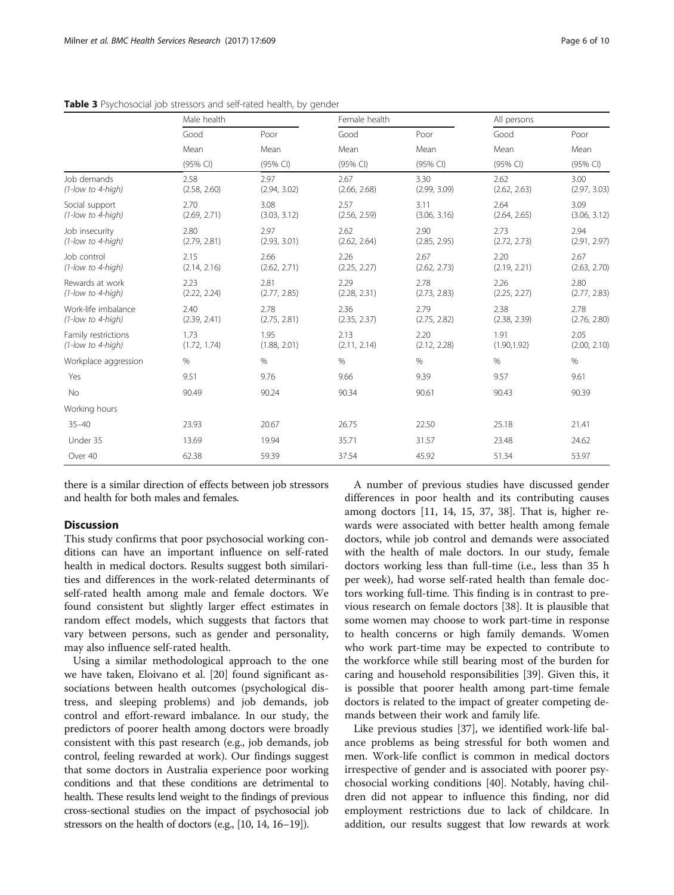|                                             | Male health          |                      | Female health                      |                          |                          |                          |
|---------------------------------------------|----------------------|----------------------|------------------------------------|--------------------------|--------------------------|--------------------------|
|                                             | Good                 | Poor<br>Mean         | Good<br>Mean<br>$(95% \text{ Cl})$ | Poor<br>Mean<br>(95% CI) | Good<br>Mean<br>(95% CI) | Poor<br>Mean<br>(95% CI) |
|                                             | Mean                 |                      |                                    |                          |                          |                          |
|                                             | (95% CI)             | (95% CI)             |                                    |                          |                          |                          |
| Job demands<br>$(1$ -low to 4-high)         | 2.58<br>(2.58, 2.60) | 2.97<br>(2.94, 3.02) | 2.67<br>(2.66, 2.68)               | 3.30<br>(2.99, 3.09)     | 2.62<br>(2.62, 2.63)     | 3.00<br>(2.97, 3.03)     |
| Social support<br>(1-low to 4-high)         | 2.70<br>(2.69, 2.71) | 3.08<br>(3.03, 3.12) | 2.57<br>(2.56, 2.59)               | 3.11<br>(3.06, 3.16)     | 2.64<br>(2.64, 2.65)     | 3.09<br>(3.06, 3.12)     |
| Job insecurity<br>$(1$ -low to 4-high)      | 2.80<br>(2.79, 2.81) | 2.97<br>(2.93, 3.01) | 2.62<br>(2.62, 2.64)               | 2.90<br>(2.85, 2.95)     | 2.73<br>(2.72, 2.73)     | 2.94<br>(2.91, 2.97)     |
| Job control<br>$(1$ -low to 4-high)         | 2.15<br>(2.14, 2.16) | 2.66<br>(2.62, 2.71) | 2.26<br>(2.25, 2.27)               | 2.67<br>(2.62, 2.73)     | 2.20<br>(2.19, 2.21)     | 2.67<br>(2.63, 2.70)     |
| Rewards at work<br>(1-low to 4-high)        | 2.23<br>(2.22, 2.24) | 2.81<br>(2.77, 2.85) | 2.29<br>(2.28, 2.31)               | 2.78<br>(2.73, 2.83)     | 2.26<br>(2.25, 2.27)     | 2.80<br>(2.77, 2.83)     |
| Work-life imbalance<br>$(1$ -low to 4-high) | 2.40<br>(2.39, 2.41) | 2.78<br>(2.75, 2.81) | 2.36<br>(2.35, 2.37)               | 2.79<br>(2.75, 2.82)     | 2.38<br>(2.38, 2.39)     | 2.78<br>(2.76, 2.80)     |
| Family restrictions<br>$(1$ -low to 4-high) | 1.73<br>(1.72, 1.74) | 1.95<br>(1.88, 2.01) | 2.13<br>(2.11, 2.14)               | 2.20<br>(2.12, 2.28)     | 1.91<br>(1.90, 1.92)     | 2.05<br>(2.00, 2.10)     |
| Workplace aggression                        | $\%$                 | %                    | %                                  | $\%$                     | $\%$                     | $\%$                     |
| Yes                                         | 9.51                 | 9.76                 | 9.66                               | 9.39                     | 9.57                     | 9.61                     |
| <b>No</b>                                   | 90.49                | 90.24                | 90.34                              | 90.61                    | 90.43                    | 90.39                    |
| Working hours                               |                      |                      |                                    |                          |                          |                          |
| $35 - 40$                                   | 23.93                | 20.67                | 26.75                              | 22.50                    | 25.18                    | 21.41                    |
| Under 35                                    | 13.69                | 19.94                | 35.71                              | 31.57                    | 23.48                    | 24.62                    |
| Over 40                                     | 62.38                | 59.39                | 37.54                              | 45.92                    | 51.34                    | 53.97                    |

<span id="page-6-0"></span>Table 3 Psychosocial job stressors and self-rated health, by gender

there is a similar direction of effects between job stressors and health for both males and females.

## **Discussion**

This study confirms that poor psychosocial working conditions can have an important influence on self-rated health in medical doctors. Results suggest both similarities and differences in the work-related determinants of self-rated health among male and female doctors. We found consistent but slightly larger effect estimates in random effect models, which suggests that factors that vary between persons, such as gender and personality, may also influence self-rated health.

Using a similar methodological approach to the one we have taken, Eloivano et al. [[20](#page-10-0)] found significant associations between health outcomes (psychological distress, and sleeping problems) and job demands, job control and effort-reward imbalance. In our study, the predictors of poorer health among doctors were broadly consistent with this past research (e.g., job demands, job control, feeling rewarded at work). Our findings suggest that some doctors in Australia experience poor working conditions and that these conditions are detrimental to health. These results lend weight to the findings of previous cross-sectional studies on the impact of psychosocial job stressors on the health of doctors (e.g., [\[10,](#page-9-0) [14, 16](#page-10-0)–[19](#page-10-0)]).

A number of previous studies have discussed gender differences in poor health and its contributing causes among doctors [[11, 14](#page-10-0), [15](#page-10-0), [37, 38](#page-10-0)]. That is, higher rewards were associated with better health among female doctors, while job control and demands were associated with the health of male doctors. In our study, female doctors working less than full-time (i.e., less than 35 h per week), had worse self-rated health than female doctors working full-time. This finding is in contrast to previous research on female doctors [\[38](#page-10-0)]. It is plausible that some women may choose to work part-time in response to health concerns or high family demands. Women who work part-time may be expected to contribute to the workforce while still bearing most of the burden for caring and household responsibilities [\[39](#page-10-0)]. Given this, it is possible that poorer health among part-time female doctors is related to the impact of greater competing demands between their work and family life.

Like previous studies [\[37](#page-10-0)], we identified work-life balance problems as being stressful for both women and men. Work-life conflict is common in medical doctors irrespective of gender and is associated with poorer psychosocial working conditions [[40](#page-10-0)]. Notably, having children did not appear to influence this finding, nor did employment restrictions due to lack of childcare. In addition, our results suggest that low rewards at work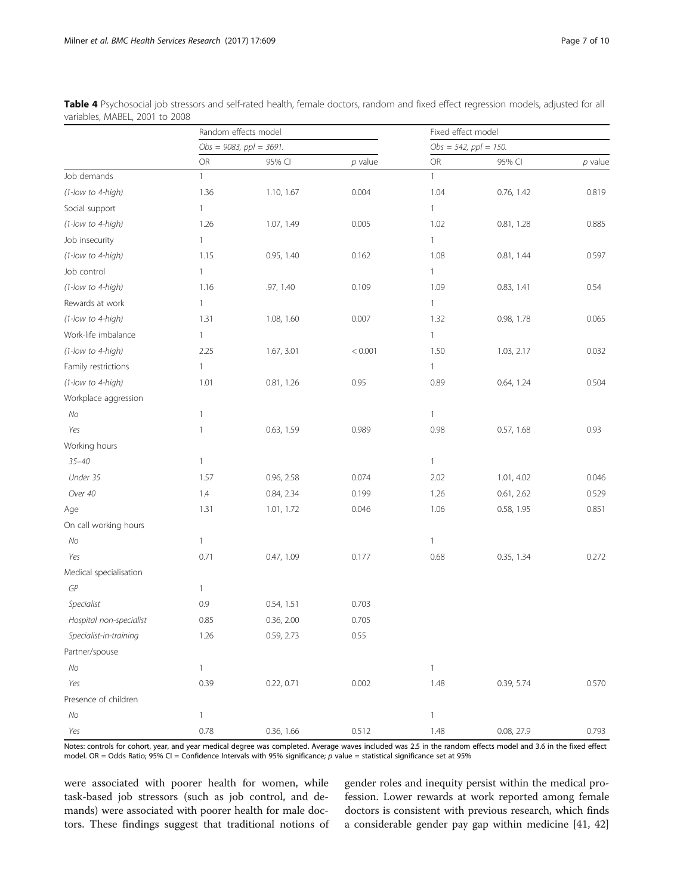| Page / of |  |  |
|-----------|--|--|
|           |  |  |

|                         | Random effects model<br>$Obs = 9083$ , ppl = 3691. |            |           | Fixed effect model<br>$Obs = 542$ , $ppl = 150$ . |            |           |
|-------------------------|----------------------------------------------------|------------|-----------|---------------------------------------------------|------------|-----------|
|                         |                                                    |            |           |                                                   |            |           |
|                         | OR                                                 | 95% CI     | $p$ value | OR                                                | 95% CI     | $p$ value |
| Job demands             | $\mathbf{1}$                                       |            |           | $\mathbf{1}$                                      |            |           |
| (1-low to 4-high)       | 1.36                                               | 1.10, 1.67 | 0.004     | 1.04                                              | 0.76, 1.42 | 0.819     |
| Social support          | $\mathbf{1}$                                       |            |           | $\mathbf{1}$                                      |            |           |
| (1-low to 4-high)       | 1.26                                               | 1.07, 1.49 | 0.005     | 1.02                                              | 0.81, 1.28 | 0.885     |
| Job insecurity          | 1                                                  |            |           | $\mathbf{1}$                                      |            |           |
| (1-low to 4-high)       | 1.15                                               | 0.95, 1.40 | 0.162     | 1.08                                              | 0.81, 1.44 | 0.597     |
| Job control             | $\mathbf{1}$                                       |            |           | $\mathbf{1}$                                      |            |           |
| (1-low to 4-high)       | 1.16                                               | .97, 1.40  | 0.109     | 1.09                                              | 0.83, 1.41 | 0.54      |
| Rewards at work         | 1                                                  |            |           | $\mathbf{1}$                                      |            |           |
| (1-low to 4-high)       | 1.31                                               | 1.08, 1.60 | 0.007     | 1.32                                              | 0.98, 1.78 | 0.065     |
| Work-life imbalance     | 1                                                  |            |           | $\mathbf{1}$                                      |            |           |
| (1-low to 4-high)       | 2.25                                               | 1.67, 3.01 | < 0.001   | 1.50                                              | 1.03, 2.17 | 0.032     |
| Family restrictions     | $\mathbf{1}$                                       |            |           | $\mathbf{1}$                                      |            |           |
| (1-low to 4-high)       | 1.01                                               | 0.81, 1.26 | 0.95      | 0.89                                              | 0.64, 1.24 | 0.504     |
| Workplace aggression    |                                                    |            |           |                                                   |            |           |
| No                      | 1                                                  |            |           | $\mathbf{1}$                                      |            |           |
| Yes                     | $\mathbf{1}$                                       | 0.63, 1.59 | 0.989     | 0.98                                              | 0.57, 1.68 | 0.93      |
| Working hours           |                                                    |            |           |                                                   |            |           |
| $35 - 40$               | $\mathbf{1}$                                       |            |           | $\mathbf{1}$                                      |            |           |
| Under 35                | 1.57                                               | 0.96, 2.58 | 0.074     | 2.02                                              | 1.01, 4.02 | 0.046     |
| Over 40                 | 1.4                                                | 0.84, 2.34 | 0.199     | 1.26                                              | 0.61, 2.62 | 0.529     |
| Age                     | 1.31                                               | 1.01, 1.72 | 0.046     | 1.06                                              | 0.58, 1.95 | 0.851     |
| On call working hours   |                                                    |            |           |                                                   |            |           |
| No                      | $\mathbf{1}$                                       |            |           | $\mathbf{1}$                                      |            |           |
| Yes                     | 0.71                                               | 0.47, 1.09 | 0.177     | 0.68                                              | 0.35, 1.34 | 0.272     |
| Medical specialisation  |                                                    |            |           |                                                   |            |           |
| $G P$                   | 1                                                  |            |           |                                                   |            |           |
| Specialist              | 0.9                                                | 0.54, 1.51 | 0.703     |                                                   |            |           |
| Hospital non-specialist | 0.85                                               | 0.36, 2.00 | 0.705     |                                                   |            |           |
| Specialist-in-training  | 1.26                                               | 0.59, 2.73 | 0.55      |                                                   |            |           |
| Partner/spouse          |                                                    |            |           |                                                   |            |           |
| N <sub>O</sub>          | $\mathbf{1}$                                       |            |           | $\mathbf{1}$                                      |            |           |
| Yes                     | 0.39                                               | 0.22, 0.71 | 0.002     | 1.48                                              | 0.39, 5.74 | 0.570     |
| Presence of children    |                                                    |            |           |                                                   |            |           |
| N <sub>O</sub>          | $\mathbf{1}$                                       |            |           | $\mathbf{1}$                                      |            |           |
| Yes                     | 0.78                                               | 0.36, 1.66 | 0.512     | 1.48                                              | 0.08, 27.9 | 0.793     |

<span id="page-7-0"></span>Table 4 Psychosocial job stressors and self-rated health, female doctors, random and fixed effect regression models, adjusted for all variables, MABEL, 2001 to 2008

Notes: controls for cohort, year, and year medical degree was completed. Average waves included was 2.5 in the random effects model and 3.6 in the fixed effect model. OR = Odds Ratio; 95% CI = Confidence Intervals with 95% significance; p value = statistical significance set at 95%

were associated with poorer health for women, while task-based job stressors (such as job control, and demands) were associated with poorer health for male doctors. These findings suggest that traditional notions of gender roles and inequity persist within the medical profession. Lower rewards at work reported among female doctors is consistent with previous research, which finds a considerable gender pay gap within medicine [[41, 42](#page-10-0)]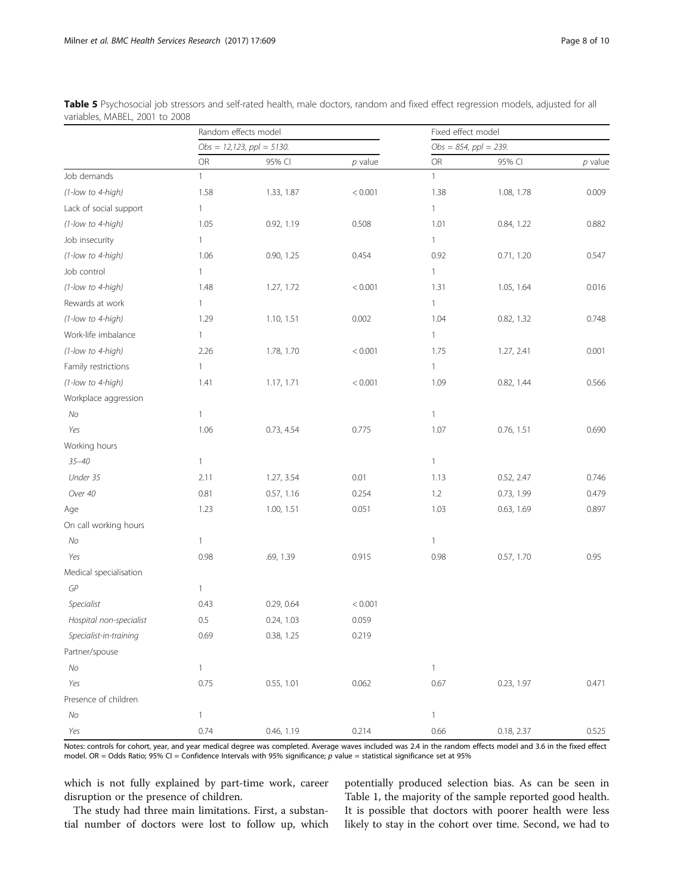| Page 8 of 10 |  |  |
|--------------|--|--|
|              |  |  |

|                         | Random effects model<br>$Obs = 12,123, ppl = 5130.$ |            |           | Fixed effect model       |            |           |  |
|-------------------------|-----------------------------------------------------|------------|-----------|--------------------------|------------|-----------|--|
|                         |                                                     |            |           | $Obs = 854$ , ppl = 239. |            |           |  |
|                         | OR                                                  | 95% CI     | $p$ value | ${\sf OR}$               | 95% CI     | $p$ value |  |
| Job demands             | $\mathbf{1}$                                        |            |           | $\mathbf{1}$             |            |           |  |
| (1-low to 4-high)       | 1.58                                                | 1.33, 1.87 | < 0.001   | 1.38                     | 1.08, 1.78 | 0.009     |  |
| Lack of social support  | 1                                                   |            |           | $\mathbf{1}$             |            |           |  |
| (1-low to 4-high)       | 1.05                                                | 0.92, 1.19 | 0.508     | 1.01                     | 0.84, 1.22 | 0.882     |  |
| Job insecurity          | 1                                                   |            |           | $\mathbf{1}$             |            |           |  |
| (1-low to 4-high)       | 1.06                                                | 0.90, 1.25 | 0.454     | 0.92                     | 0.71, 1.20 | 0.547     |  |
| Job control             | 1                                                   |            |           | $\mathbf{1}$             |            |           |  |
| (1-low to 4-high)       | 1.48                                                | 1.27, 1.72 | < 0.001   | 1.31                     | 1.05, 1.64 | 0.016     |  |
| Rewards at work         | 1                                                   |            |           | $\mathbf{1}$             |            |           |  |
| (1-low to 4-high)       | 1.29                                                | 1.10, 1.51 | 0.002     | 1.04                     | 0.82, 1.32 | 0.748     |  |
| Work-life imbalance     | 1                                                   |            |           | $\mathbf{1}$             |            |           |  |
| (1-low to 4-high)       | 2.26                                                | 1.78, 1.70 | < 0.001   | 1.75                     | 1.27, 2.41 | 0.001     |  |
| Family restrictions     | 1                                                   |            |           | $\mathbf{1}$             |            |           |  |
| (1-low to 4-high)       | 1.41                                                | 1.17, 1.71 | < 0.001   | 1.09                     | 0.82, 1.44 | 0.566     |  |
| Workplace aggression    |                                                     |            |           |                          |            |           |  |
| N <sub>O</sub>          | 1                                                   |            |           | $\mathbf{1}$             |            |           |  |
| Yes                     | 1.06                                                | 0.73, 4.54 | 0.775     | 1.07                     | 0.76, 1.51 | 0.690     |  |
| Working hours           |                                                     |            |           |                          |            |           |  |
| $35 - 40$               | 1                                                   |            |           | $\mathbf{1}$             |            |           |  |
| Under 35                | 2.11                                                | 1.27, 3.54 | 0.01      | 1.13                     | 0.52, 2.47 | 0.746     |  |
| Over 40                 | 0.81                                                | 0.57, 1.16 | 0.254     | 1.2                      | 0.73, 1.99 | 0.479     |  |
| Age                     | 1.23                                                | 1.00, 1.51 | 0.051     | 1.03                     | 0.63, 1.69 | 0.897     |  |
| On call working hours   |                                                     |            |           |                          |            |           |  |
| No                      | 1                                                   |            |           | $\mathbf{1}$             |            |           |  |
| Yes                     | 0.98                                                | .69, 1.39  | 0.915     | 0.98                     | 0.57, 1.70 | 0.95      |  |
| Medical specialisation  |                                                     |            |           |                          |            |           |  |
| GP                      | 1                                                   |            |           |                          |            |           |  |
| Specialist              | 0.43                                                | 0.29, 0.64 | < 0.001   |                          |            |           |  |
| Hospital non-specialist | 0.5                                                 | 0.24, 1.03 | 0.059     |                          |            |           |  |
| Specialist-in-training  | 0.69                                                | 0.38, 1.25 | 0.219     |                          |            |           |  |
| Partner/spouse          |                                                     |            |           |                          |            |           |  |
| No                      | $\mathbf{1}$                                        |            |           | $\mathbf{1}$             |            |           |  |
| Yes                     | 0.75                                                | 0.55, 1.01 | 0.062     | 0.67                     | 0.23, 1.97 | 0.471     |  |
| Presence of children    |                                                     |            |           |                          |            |           |  |
| No                      | 1                                                   |            |           | $\mathbf{1}$             |            |           |  |
| Yes                     | 0.74                                                | 0.46, 1.19 | 0.214     | 0.66                     | 0.18, 2.37 | 0.525     |  |

<span id="page-8-0"></span>Table 5 Psychosocial job stressors and self-rated health, male doctors, random and fixed effect regression models, adjusted for all variables, MABEL, 2001 to 2008

Notes: controls for cohort, year, and year medical degree was completed. Average waves included was 2.4 in the random effects model and 3.6 in the fixed effect model. OR = Odds Ratio; 95% CI = Confidence Intervals with 95% significance; p value = statistical significance set at 95%

which is not fully explained by part-time work, career disruption or the presence of children.

potentially produced selection bias. As can be seen in Table [1,](#page-3-0) the majority of the sample reported good health. It is possible that doctors with poorer health were less likely to stay in the cohort over time. Second, we had to

The study had three main limitations. First, a substantial number of doctors were lost to follow up, which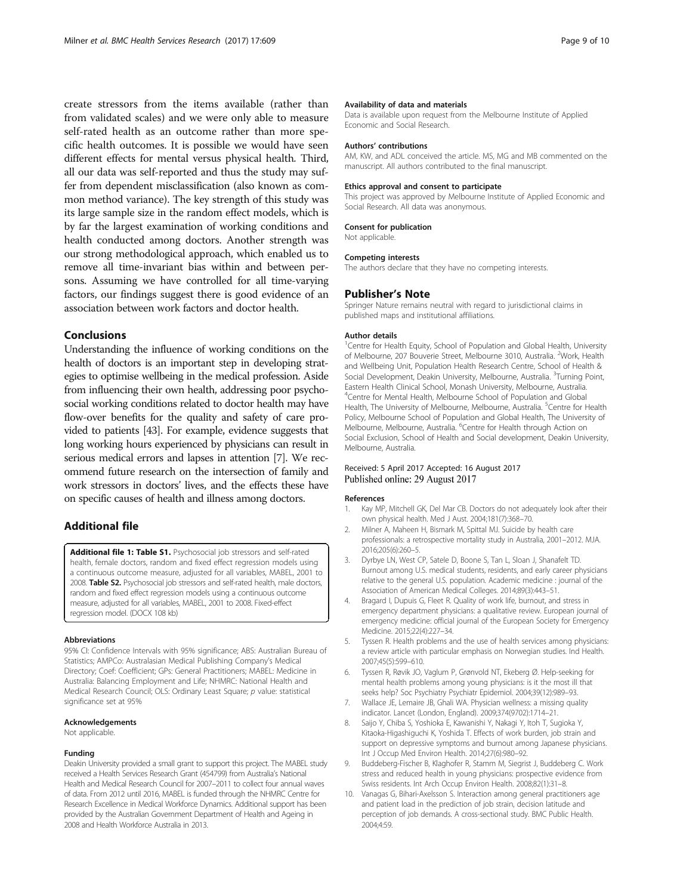<span id="page-9-0"></span>create stressors from the items available (rather than from validated scales) and we were only able to measure self-rated health as an outcome rather than more specific health outcomes. It is possible we would have seen different effects for mental versus physical health. Third, all our data was self-reported and thus the study may suffer from dependent misclassification (also known as common method variance). The key strength of this study was its large sample size in the random effect models, which is by far the largest examination of working conditions and health conducted among doctors. Another strength was our strong methodological approach, which enabled us to remove all time-invariant bias within and between persons. Assuming we have controlled for all time-varying factors, our findings suggest there is good evidence of an association between work factors and doctor health.

## **Conclusions**

Understanding the influence of working conditions on the health of doctors is an important step in developing strategies to optimise wellbeing in the medical profession. Aside from influencing their own health, addressing poor psychosocial working conditions related to doctor health may have flow-over benefits for the quality and safety of care provided to patients [\[43\]](#page-10-0). For example, evidence suggests that long working hours experienced by physicians can result in serious medical errors and lapses in attention [7]. We recommend future research on the intersection of family and work stressors in doctors' lives, and the effects these have on specific causes of health and illness among doctors.

## Additional file

[Additional file 1: Table S1.](dx.doi.org/10.1186/s12913-017-2554-z) Psychosocial job stressors and self-rated health, female doctors, random and fixed effect regression models using a continuous outcome measure, adjusted for all variables, MABEL, 2001 to 2008. Table S2. Psychosocial job stressors and self-rated health, male doctors, random and fixed effect regression models using a continuous outcome measure, adjusted for all variables, MABEL, 2001 to 2008. Fixed-effect regression model. (DOCX 108 kb)

#### Abbreviations

95% CI: Confidence Intervals with 95% significance; ABS: Australian Bureau of Statistics; AMPCo: Australasian Medical Publishing Company's Medical Directory; Coef: Coefficient; GPs: General Practitioners; MABEL: Medicine in Australia: Balancing Employment and Life; NHMRC: National Health and Medical Research Council; OLS: Ordinary Least Square; p value: statistical significance set at 95%

## Acknowledgements

Not applicable.

#### Funding

Deakin University provided a small grant to support this project. The MABEL study received a Health Services Research Grant (454799) from Australia's National Health and Medical Research Council for 2007–2011 to collect four annual waves of data. From 2012 until 2016, MABEL is funded through the NHMRC Centre for Research Excellence in Medical Workforce Dynamics. Additional support has been provided by the Australian Government Department of Health and Ageing in 2008 and Health Workforce Australia in 2013.

## Availability of data and materials

Data is available upon request from the Melbourne Institute of Applied Economic and Social Research.

#### Authors' contributions

AM, KW, and ADL conceived the article. MS, MG and MB commented on the manuscript. All authors contributed to the final manuscript.

#### Ethics approval and consent to participate

This project was approved by Melbourne Institute of Applied Economic and Social Research. All data was anonymous.

## Consent for publication

Not applicable.

#### Competing interests

The authors declare that they have no competing interests.

#### Publisher's Note

Springer Nature remains neutral with regard to jurisdictional claims in published maps and institutional affiliations.

#### Author details

<sup>1</sup> Centre for Health Equity, School of Population and Global Health, University of Melbourne, 207 Bouverie Street, Melbourne 3010, Australia. <sup>2</sup>Work, Health and Wellbeing Unit, Population Health Research Centre, School of Health & Social Development, Deakin University, Melbourne, Australia. <sup>3</sup>Turning Point Eastern Health Clinical School, Monash University, Melbourne, Australia. 4 Centre for Mental Health, Melbourne School of Population and Global Health, The University of Melbourne, Melbourne, Australia. <sup>5</sup>Centre for Health Policy, Melbourne School of Population and Global Health, The University of Melbourne, Melbourne, Australia. <sup>6</sup> Centre for Health through Action on Social Exclusion, School of Health and Social development, Deakin University, Melbourne, Australia.

## Received: 5 April 2017 Accepted: 16 August 2017 Published online: 29 August 2017

#### References

- 1. Kay MP, Mitchell GK, Del Mar CB. Doctors do not adequately look after their own physical health. Med J Aust. 2004;181(7):368–70.
- 2. Milner A, Maheen H, Bismark M, Spittal MJ. Suicide by health care professionals: a retrospective mortality study in Australia, 2001–2012. MJA. 2016;205(6):260–5.
- 3. Dyrbye LN, West CP, Satele D, Boone S, Tan L, Sloan J, Shanafelt TD. Burnout among U.S. medical students, residents, and early career physicians relative to the general U.S. population. Academic medicine : journal of the Association of American Medical Colleges. 2014;89(3):443–51.
- 4. Bragard I, Dupuis G, Fleet R. Quality of work life, burnout, and stress in emergency department physicians: a qualitative review. European journal of emergency medicine: official journal of the European Society for Emergency Medicine. 2015;22(4):227–34.
- Tyssen R. Health problems and the use of health services among physicians: a review article with particular emphasis on Norwegian studies. Ind Health. 2007;45(5):599–610.
- 6. Tyssen R, Røvik JO, Vaglum P, Grønvold NT, Ekeberg Ø. Help-seeking for mental health problems among young physicians: is it the most ill that seeks help? Soc Psychiatry Psychiatr Epidemiol. 2004;39(12):989–93.
- 7. Wallace JE, Lemaire JB, Ghali WA. Physician wellness: a missing quality indicator. Lancet (London, England). 2009;374(9702):1714–21.
- 8. Saijo Y, Chiba S, Yoshioka E, Kawanishi Y, Nakagi Y, Itoh T, Sugioka Y, Kitaoka-Higashiguchi K, Yoshida T. Effects of work burden, job strain and support on depressive symptoms and burnout among Japanese physicians. Int J Occup Med Environ Health. 2014;27(6):980–92.
- 9. Buddeberg-Fischer B, Klaghofer R, Stamm M, Siegrist J, Buddeberg C. Work stress and reduced health in young physicians: prospective evidence from Swiss residents. Int Arch Occup Environ Health. 2008;82(1):31–8.
- 10. Vanagas G, Bihari-Axelsson S. Interaction among general practitioners age and patient load in the prediction of job strain, decision latitude and perception of job demands. A cross-sectional study. BMC Public Health. 2004;4:59.